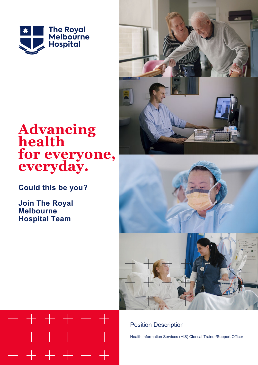

# **Advancing health for everyone, everyday.**

**Could this be you?**

**Join The Royal Melbourne Hospital Team**





## Position Description

Health Information Services (HIS) Clerical Trainer/Support Officer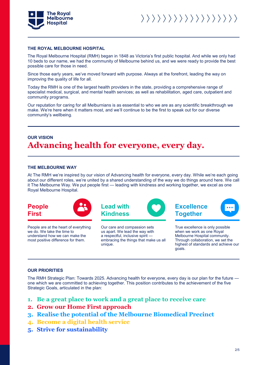

#### **THE ROYAL MELBOURNE HOSPITAL**

The Royal Melbourne Hospital (RMH) began in 1848 as Victoria's first public hospital. And while we only had 10 beds to our name, we had the community of Melbourne behind us, and we were ready to provide the best possible care for those in need.

Since those early years, we've moved forward with purpose. Always at the forefront, leading the way on improving the quality of life for all.

Today the RMH is one of the largest health providers in the state, providing a comprehensive range of specialist medical, surgical, and mental health services; as well as rehabilitation, aged care, outpatient and community programs.

Our reputation for caring for all Melburnians is as essential to who we are as any scientific breakthrough we make. We're here when it matters most, and we'll continue to be the first to speak out for our diverse community's wellbeing.

## **OUR VISION Advancing health for everyone, every day.**

#### **THE MELBOURNE WAY**

At The RMH we're inspired by our vision of Advancing health for everyone, every day. While we're each going about our different roles, we're united by a shared understanding of the way we do things around here. We call it The Melbourne Way. We put people first — leading with kindness and working together, we excel as one Royal Melbourne Hospital.





People are at the heart of everything we do. We take the time to understand how we can make the most positive difference for them.



Our care and compassion sets us apart. We lead the way with a respectful, inclusive spirit embracing the things that make us all unique.





True excellence is only possible when we work as one Royal Melbourne Hospital community. Through collaboration, we set the highest of standards and achieve our goals.

#### **OUR PRIORITIES**

The RMH Strategic Plan: Towards 2025. Advancing health for everyone, every day is our plan for the future one which we are committed to achieving together. This position contributes to the achievement of the five Strategic Goals, articulated in the plan:

- **1. Be a great place to work and a great place to receive care**
- **2. Grow our Home First approach**
- **3. Realise the potential of the Melbourne Biomedical Precinct**
- **4. Become a digital health service**
- **5. Strive for sustainability**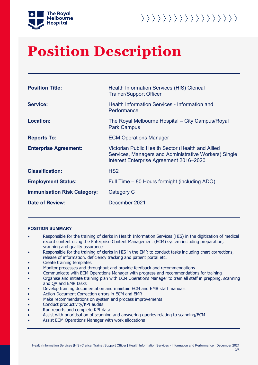



# **Position Description**

| <b>Position Title:</b>             | <b>Health Information Services (HIS) Clerical</b><br><b>Trainer/Support Officer</b>                                                                   |
|------------------------------------|-------------------------------------------------------------------------------------------------------------------------------------------------------|
| <b>Service:</b>                    | Health Information Services - Information and<br>Performance                                                                                          |
| <b>Location:</b>                   | The Royal Melbourne Hospital – City Campus/Royal<br><b>Park Campus</b>                                                                                |
| <b>Reports To:</b>                 | <b>ECM Operations Manager</b>                                                                                                                         |
| <b>Enterprise Agreement:</b>       | Victorian Public Health Sector (Health and Allied<br>Services, Managers and Administrative Workers) Single<br>Interest Enterprise Agreement 2016-2020 |
| <b>Classification:</b>             | HS <sub>2</sub>                                                                                                                                       |
| <b>Employment Status:</b>          | Full Time – 80 Hours fortnight (including ADO)                                                                                                        |
| <b>Immunisation Risk Category:</b> | Category C                                                                                                                                            |
| <b>Date of Review:</b>             | December 2021                                                                                                                                         |

#### **POSITION SUMMARY**

- Responsible for the training of clerks in Health Information Services (HIS) in the digitization of medical record content using the Enterprise Content Management (ECM) system including preparation, scanning and quality assurance
- Responsible for the training of clerks in HIS in the EMR to conduct tasks including chart corrections, release of information, deficiency tracking and patient portal etc.
- Create training templates
- Monitor processes and throughput and provide feedback and recommendations
- Communicate with ECM Operations Manager with progress and recommendations for training
- Organise and initiate training plan with ECM Operations Manager to train all staff in prepping, scanning and QA and EMR tasks
- Develop training documentation and maintain ECM and EMR staff manuals
- Action Document Correction errors in ECM and EMR
- Make recommendations on system and process improvements
- Conduct productivity/KPI audits
- Run reports and complete KPI data
- Assist with prioritisation of scanning and answering queries relating to scanning/ECM
- Assist ECM Operations Manager with work allocations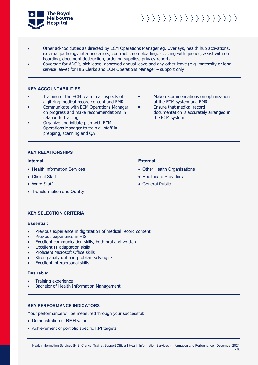

- Other ad-hoc duties as directed by ECM Operations Manager eg. Overlays, health hub activations, external pathology interface errors, contract care uploading, assisting with queries, assist with on boarding, document destruction, ordering supplies, privacy reports
- Coverage for ADO's, sick leave, approved annual leave and any other leave (e.g. maternity or long service leave) for HIS Clerks and ECM Operations Manager – support only

#### **KEY ACCOUNTABILITIES**

- Training of the ECM team in all aspects of digitizing medical record content and EMR
- Communicate with ECM Operations Manager on progress and make recommendations in relation to training
- Organize and initiate plan with ECM Operations Manager to train all staff in prepping, scanning and QA
- Make recommendations on optimization of the ECM system and EMR
- **Ensure that medical record** documentation is accurately arranged in the ECM system

#### **KEY RELATIONSHIPS**

- Health Information Services
- Clinical Staff
- Ward Staff
- Transformation and Quality

#### **Internal External**

- Other Health Organisations
- Healthcare Providers
- General Public

### **KEY SELECTION CRITERIA**

#### **Essential:**

- Previous experience in digitization of medical record content
- Previous experience in HIS
- Excellent communication skills, both oral and written
- Excellent IT adaptation skills
- Proficient Microsoft Office skills
- Strong analytical and problem solving skills
- Excellent interpersonal skills

#### **Desirable:**

- Training experience
- Bachelor of Health Information Management

### **KEY PERFORMANCE INDICATORS**

Your performance will be measured through your successful:

- Demonstration of RMH values
- Achievement of portfolio specific KPI targets